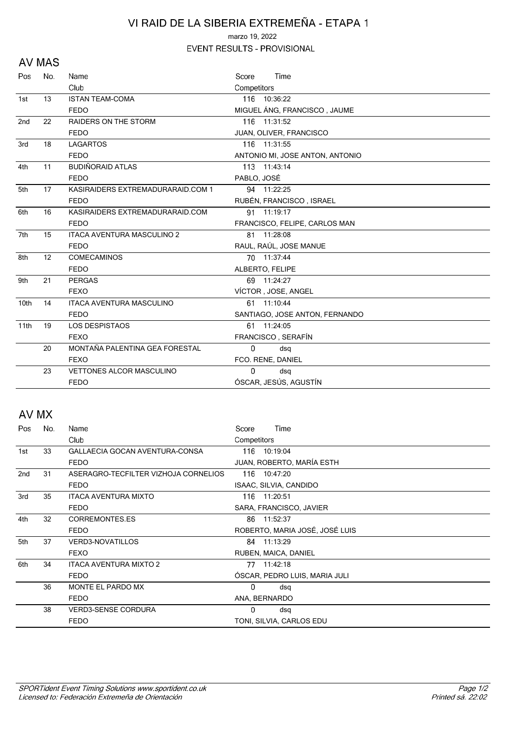## VI RAID DE LA SIBERIA EXTREMEÑA - ETAPA 1

marzo 19, 2022

EVENT RESULTS - PROVISIONAL

#### **AV MAS**

| Pos             | No.               | Name                              | Time<br>Score                   |
|-----------------|-------------------|-----------------------------------|---------------------------------|
|                 |                   | Club                              | Competitors                     |
| 1st             | 13                | <b>ISTAN TEAM-COMA</b>            | 116 10:36:22                    |
|                 |                   | <b>FEDO</b>                       | MIGUEL ÁNG, FRANCISCO, JAUME    |
| 2 <sub>nd</sub> | 22                | <b>RAIDERS ON THE STORM</b>       | 116 11:31:52                    |
|                 |                   | <b>FEDO</b>                       | JUAN, OLIVER, FRANCISCO         |
| 3rd             | 18                | <b>LAGARTOS</b>                   | 116 11:31:55                    |
|                 |                   | <b>FEDO</b>                       | ANTONIO MI, JOSE ANTON, ANTONIO |
| 4th             | 11                | <b>BUDIÑORAID ATLAS</b>           | 113 11:43:14                    |
|                 |                   | <b>FEDO</b>                       | PABLO, JOSÉ                     |
| 5th             | 17                | KASIRAIDERS EXTREMADURARAID.COM 1 | 94 11:22:25                     |
|                 |                   | <b>FEDO</b>                       | RUBÉN, FRANCISCO, ISRAEL        |
| 6th             | 16                | KASIRAIDERS EXTREMADURARAID.COM   | 91 11:19:17                     |
|                 |                   | <b>FEDO</b>                       | FRANCISCO, FELIPE, CARLOS MAN   |
| 7th             | 15                | <b>ITACA AVENTURA MASCULINO 2</b> | 81 11:28:08                     |
|                 |                   | <b>FEDO</b>                       | RAUL, RAÚL, JOSE MANUE          |
| 8th             | $12 \overline{ }$ | <b>COMECAMINOS</b>                | 70 11:37:44                     |
|                 |                   | <b>FEDO</b>                       | ALBERTO, FELIPE                 |
| 9th             | 21                | <b>PERGAS</b>                     | 69 11:24:27                     |
|                 |                   | <b>FEXO</b>                       | VÍCTOR, JOSE, ANGEL             |
| 10th            | 14                | <b>ITACA AVENTURA MASCULINO</b>   | 61 11:10:44                     |
|                 |                   | <b>FEDO</b>                       | SANTIAGO, JOSE ANTON, FERNANDO  |
| 11th            | 19                | <b>LOS DESPISTAOS</b>             | 61 11:24:05                     |
|                 |                   | <b>FEXO</b>                       | FRANCISCO, SERAFÍN              |
|                 | 20                | MONTAÑA PALENTINA GEA FORESTAL    | 0<br>dsq                        |
|                 |                   | <b>FEXO</b>                       | FCO. RENE, DANIEL               |
|                 | 23                | <b>VETTONES ALCOR MASCULINO</b>   | 0<br>dsq                        |
|                 |                   | <b>FEDO</b>                       | ÓSCAR, JESÚS, AGUSTÍN           |

## AV MX

| Pos | No. | Name                                 | Time<br>Score                  |
|-----|-----|--------------------------------------|--------------------------------|
|     |     | Club                                 | Competitors                    |
| 1st | 33  | GALLAECIA GOCAN AVENTURA-CONSA       | 116 10:19:04                   |
|     |     | <b>FEDO</b>                          | JUAN, ROBERTO, MARÍA ESTH      |
| 2nd | 31  | ASERAGRO-TECFILTER VIZHOJA CORNELIOS | 116 10:47:20                   |
|     |     | <b>FEDO</b>                          | ISAAC, SILVIA, CANDIDO         |
| 3rd | 35  | <b>ITACA AVENTURA MIXTO</b>          | 116 11:20:51                   |
|     |     | <b>FEDO</b>                          | SARA, FRANCISCO, JAVIER        |
| 4th | 32  | <b>CORREMONTES.ES</b>                | 86 11:52:37                    |
|     |     | <b>FEDO</b>                          | ROBERTO, MARIA JOSÉ, JOSÉ LUIS |
| 5th | 37  | <b>VERD3-NOVATILLOS</b>              | 84 11:13:29                    |
|     |     | <b>FEXO</b>                          | RUBEN, MAICA, DANIEL           |
| 6th | 34  | <b>ITACA AVENTURA MIXTO 2</b>        | 11:42:18<br>77.                |
|     |     | <b>FEDO</b>                          | ÓSCAR, PEDRO LUIS, MARIA JULI  |
|     | 36  | MONTE EL PARDO MX                    | 0<br>dsq                       |
|     |     | <b>FEDO</b>                          | ANA, BERNARDO                  |
|     | 38  | <b>VERD3-SENSE CORDURA</b>           | 0<br>dsq                       |
|     |     | <b>FEDO</b>                          | TONI, SILVIA, CARLOS EDU       |